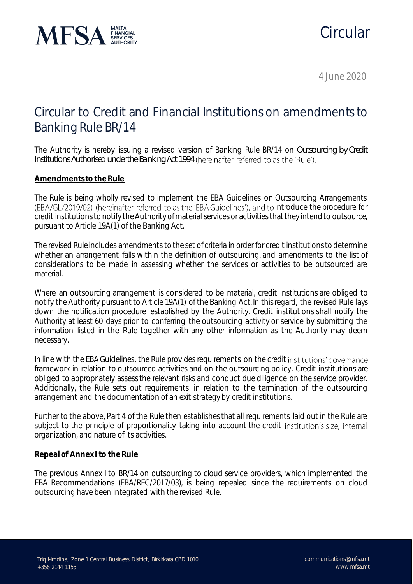

# Circular

4 June 2020

## Circular to Credit and Financial Institutions on amendmentsto Banking Rule BR/14

The Authority is hereby issuing a revised version of Banking Rule BR/14 on *Outsourcing by Credit Institutions Authorised under the Banking Act 1994*

### **Amendments to the Rule**

The Rule is being wholly revised to implement the EBA Guidelines on Outsourcing Arrangements (EBA/GL/2019/02) (hereinafter referred to as the 'EBA Guidelines'), and to introduce the procedure for credit institutions to notify the Authority of material services or activities that they intend to outsource, pursuant to Article 19A(1) of the Banking Act.

The revised Rule includes amendments to the set of criteria in order for credit institutions to determine whether an arrangement falls within the definition of outsourcing, and amendments to the list of considerations to be made in assessing whether the services or activities to be outsourced are material.

Where an outsourcing arrangement is considered to be material, credit institutions are obliged to notify the Authority pursuant to Article 19A(1) of the Banking Act. In this regard, the revised Rule lays down the notification procedure established by the Authority. Credit institutions shall notify the Authority at least 60 days prior to conferring the outsourcing activity or service by submitting the information listed in the Rule together with any other information as the Authority may deem necessary.

In line with the EBA Guidelines, the Rule provides requirements on the credit institutions' governance framework in relation to outsourced activities and on the outsourcing policy. Credit institutions are obliged to appropriately assess the relevant risks and conduct due diligence on the service provider. Additionally, the Rule sets out requirements in relation to the termination of the outsourcing arrangement and the documentation of an exit strategy by credit institutions.

Further to the above, Part 4 of the Rule then establishes that all requirements laid out in the Rule are subject to the principle of proportionality taking into account the credit institution's size, internal organization, and nature of its activities.

#### **Repeal of Annex I to the Rule**

The previous Annex I to BR/14 on outsourcing to cloud service providers, which implemented the EBA Recommendations (EBA/REC/2017/03), is being repealed since the requirements on cloud outsourcing have been integrated with the revised Rule.